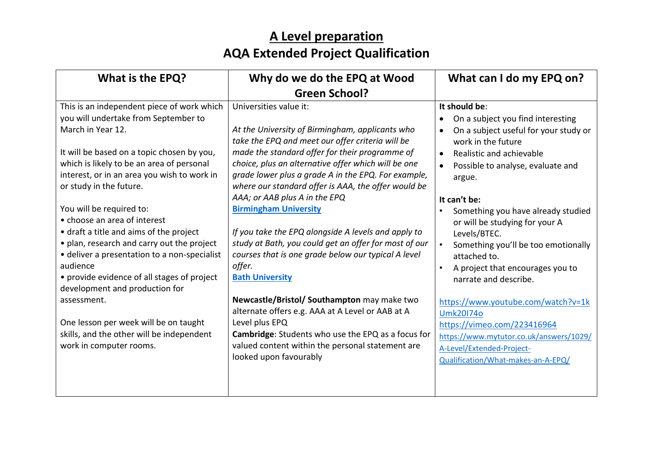## **A Level preparation AQA Extended Project Qualification**

| What is the EPQ?                                                                                                                                                                                                                                                                                                                                                                                                                                                                                                                                                                                                                                                                                               | Why do we do the EPQ at Wood                                                                                                                                                                                                                                                                                                                                                                                                                                                                                                                                                                                                                                                                                                                                                                                                                                                              | What can I do my EPQ on?                                                                                                                                                                                                                                                                                                                                                                                                                                                                                                                                                                                                                                  |
|----------------------------------------------------------------------------------------------------------------------------------------------------------------------------------------------------------------------------------------------------------------------------------------------------------------------------------------------------------------------------------------------------------------------------------------------------------------------------------------------------------------------------------------------------------------------------------------------------------------------------------------------------------------------------------------------------------------|-------------------------------------------------------------------------------------------------------------------------------------------------------------------------------------------------------------------------------------------------------------------------------------------------------------------------------------------------------------------------------------------------------------------------------------------------------------------------------------------------------------------------------------------------------------------------------------------------------------------------------------------------------------------------------------------------------------------------------------------------------------------------------------------------------------------------------------------------------------------------------------------|-----------------------------------------------------------------------------------------------------------------------------------------------------------------------------------------------------------------------------------------------------------------------------------------------------------------------------------------------------------------------------------------------------------------------------------------------------------------------------------------------------------------------------------------------------------------------------------------------------------------------------------------------------------|
|                                                                                                                                                                                                                                                                                                                                                                                                                                                                                                                                                                                                                                                                                                                | <b>Green School?</b>                                                                                                                                                                                                                                                                                                                                                                                                                                                                                                                                                                                                                                                                                                                                                                                                                                                                      |                                                                                                                                                                                                                                                                                                                                                                                                                                                                                                                                                                                                                                                           |
| This is an independent piece of work which<br>you will undertake from September to<br>March in Year 12.<br>It will be based on a topic chosen by you,<br>which is likely to be an area of personal<br>interest, or in an area you wish to work in<br>or study in the future.<br>You will be required to:<br>• choose an area of interest<br>• draft a title and aims of the project<br>• plan, research and carry out the project<br>· deliver a presentation to a non-specialist<br>audience<br>• provide evidence of all stages of project<br>development and production for<br>assessment.<br>One lesson per week will be on taught<br>skills, and the other will be independent<br>work in computer rooms. | Universities value it:<br>At the University of Birmingham, applicants who<br>take the EPQ and meet our offer criteria will be<br>made the standard offer for their programme of<br>choice, plus an alternative offer which will be one<br>grade lower plus a grade A in the EPQ. For example,<br>where our standard offer is AAA, the offer would be<br>AAA; or AAB plus A in the EPQ<br><b>Birmingham University</b><br>If you take the EPQ alongside A levels and apply to<br>study at Bath, you could get an offer for most of our<br>courses that is one grade below our typical A level<br>offer.<br><b>Bath University</b><br>Newcastle/Bristol/ Southampton may make two<br>alternate offers e.g. AAA at A Level or AAB at A<br>Level plus EPQ<br>Cambridge: Students who use the EPQ as a focus for<br>valued content within the personal statement are<br>looked upon favourably | It should be:<br>On a subject you find interesting<br>On a subject useful for your study or<br>work in the future<br>Realistic and achievable<br>$\bullet$<br>Possible to analyse, evaluate and<br>argue.<br>It can't be:<br>Something you have already studied<br>or will be studying for your A<br>Levels/BTEC.<br>Something you'll be too emotionally<br>$\bullet$<br>attached to.<br>A project that encourages you to<br>narrate and describe.<br>https://www.youtube.com/watch?v=1k<br><b>Umk20174o</b><br>https://vimeo.com/223416964<br>https://www.mytutor.co.uk/answers/1029/<br>A-Level/Extended-Project-<br>Qualification/What-makes-an-A-EPQ/ |
|                                                                                                                                                                                                                                                                                                                                                                                                                                                                                                                                                                                                                                                                                                                |                                                                                                                                                                                                                                                                                                                                                                                                                                                                                                                                                                                                                                                                                                                                                                                                                                                                                           |                                                                                                                                                                                                                                                                                                                                                                                                                                                                                                                                                                                                                                                           |